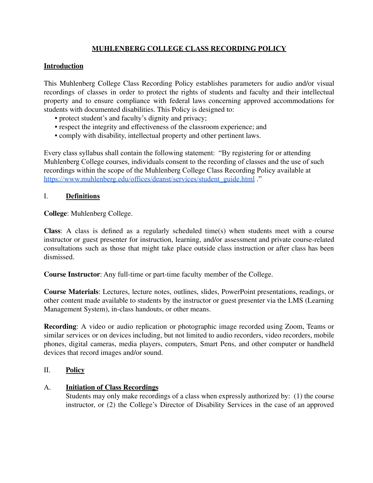# **MUHLENBERG COLLEGE CLASS RECORDING POLICY**

# **Introduction**

This Muhlenberg College Class Recording Policy establishes parameters for audio and/or visual recordings of classes in order to protect the rights of students and faculty and their intellectual property and to ensure compliance with federal laws concerning approved accommodations for students with documented disabilities. This Policy is designed to:

- protect student's and faculty's dignity and privacy;
- respect the integrity and effectiveness of the classroom experience; and
- comply with disability, intellectual property and other pertinent laws.

Every class syllabus shall contain the following statement: "By registering for or attending Muhlenberg College courses, individuals consent to the recording of classes and the use of such recordings within the scope of the Muhlenberg College Class Recording Policy available at [https://www.muhlenberg.edu/offices/deanst/services/student\\_guide.html](https://www.muhlenberg.edu/offices/deanst/services/student_guide.html) ."

# I. **Definitions**

**College**: Muhlenberg College.

**Class**: A class is defined as a regularly scheduled time(s) when students meet with a course instructor or guest presenter for instruction, learning, and/or assessment and private course-related consultations such as those that might take place outside class instruction or after class has been dismissed.

**Course Instructor**: Any full-time or part-time faculty member of the College.

**Course Materials**: Lectures, lecture notes, outlines, slides, PowerPoint presentations, readings, or other content made available to students by the instructor or guest presenter via the LMS (Learning Management System), in-class handouts, or other means.

**Recording**: A video or audio replication or photographic image recorded using Zoom, Teams or similar services or on devices including, but not limited to audio recorders, video recorders, mobile phones, digital cameras, media players, computers, Smart Pens, and other computer or handheld devices that record images and/or sound.

# II. **Policy**

# A. **Initiation of Class Recordings**

Students may only make recordings of a class when expressly authorized by: (1) the course instructor, or (2) the College's Director of Disability Services in the case of an approved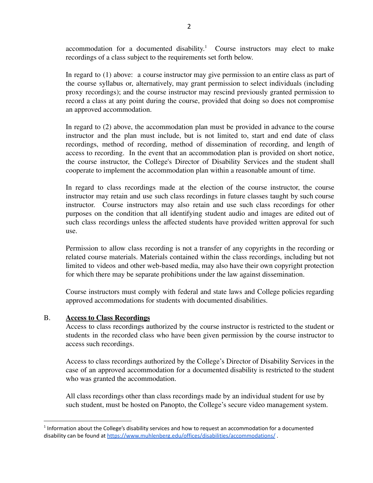accommodation for a documented disability.<sup>1</sup> Course instructors may elect to make recordings of a class subject to the requirements set forth below.

In regard to (1) above: a course instructor may give permission to an entire class as part of the course syllabus or, alternatively, may grant permission to select individuals (including proxy recordings); and the course instructor may rescind previously granted permission to record a class at any point during the course, provided that doing so does not compromise an approved accommodation.

In regard to (2) above, the accommodation plan must be provided in advance to the course instructor and the plan must include, but is not limited to, start and end date of class recordings, method of recording, method of dissemination of recording, and length of access to recording. In the event that an accommodation plan is provided on short notice, the course instructor, the College's Director of Disability Services and the student shall cooperate to implement the accommodation plan within a reasonable amount of time.

In regard to class recordings made at the election of the course instructor, the course instructor may retain and use such class recordings in future classes taught by such course instructor. Course instructors may also retain and use such class recordings for other purposes on the condition that all identifying student audio and images are edited out of such class recordings unless the affected students have provided written approval for such use.

Permission to allow class recording is not a transfer of any copyrights in the recording or related course materials. Materials contained within the class recordings, including but not limited to videos and other web-based media, may also have their own copyright protection for which there may be separate prohibitions under the law against dissemination.

Course instructors must comply with federal and state laws and College policies regarding approved accommodations for students with documented disabilities.

#### B. **Access to Class Recordings**

Access to class recordings authorized by the course instructor is restricted to the student or students in the recorded class who have been given permission by the course instructor to access such recordings.

Access to class recordings authorized by the College's Director of Disability Services in the case of an approved accommodation for a documented disability is restricted to the student who was granted the accommodation.

All class recordings other than class recordings made by an individual student for use by such student, must be hosted on Panopto, the College's secure video management system.

 $<sup>1</sup>$  Information about the College's disability services and how to request an accommodation for a documented</sup> disability can be found at <https://www.muhlenberg.edu/offices/disabilities/accommodations/>.